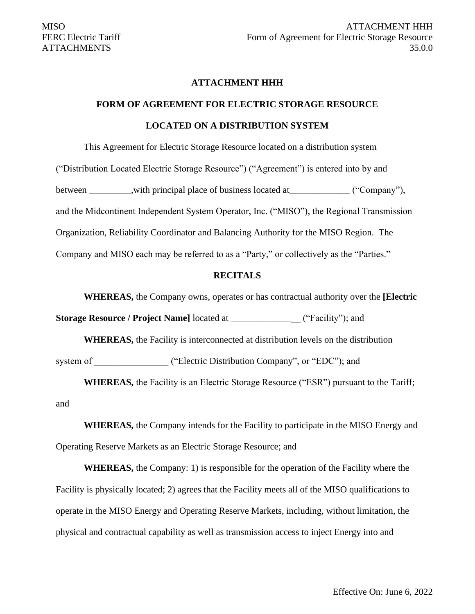## **ATTACHMENT HHH**

# **FORM OF AGREEMENT FOR ELECTRIC STORAGE RESOURCE LOCATED ON A DISTRIBUTION SYSTEM**

This Agreement for Electric Storage Resource located on a distribution system

("Distribution Located Electric Storage Resource") ("Agreement") is entered into by and between \_\_\_\_\_\_\_,with principal place of business located at \_\_\_\_\_\_\_\_\_\_\_ ("Company"), and the Midcontinent Independent System Operator, Inc. ("MISO"), the Regional Transmission Organization, Reliability Coordinator and Balancing Authority for the MISO Region. The Company and MISO each may be referred to as a "Party," or collectively as the "Parties."

#### **RECITALS**

**WHEREAS,** the Company owns, operates or has contractual authority over the **[Electric** 

**Storage Resource / Project Name**] located at \_\_\_\_\_\_\_\_\_\_\_\_\_\_\_ ("Facility"); and

**WHEREAS,** the Facility is interconnected at distribution levels on the distribution system of ("Electric Distribution Company", or "EDC"); and

**WHEREAS,** the Facility is an Electric Storage Resource ("ESR") pursuant to the Tariff; and

**WHEREAS,** the Company intends for the Facility to participate in the MISO Energy and Operating Reserve Markets as an Electric Storage Resource; and

**WHEREAS,** the Company: 1) is responsible for the operation of the Facility where the Facility is physically located; 2) agrees that the Facility meets all of the MISO qualifications to operate in the MISO Energy and Operating Reserve Markets, including, without limitation, the physical and contractual capability as well as transmission access to inject Energy into and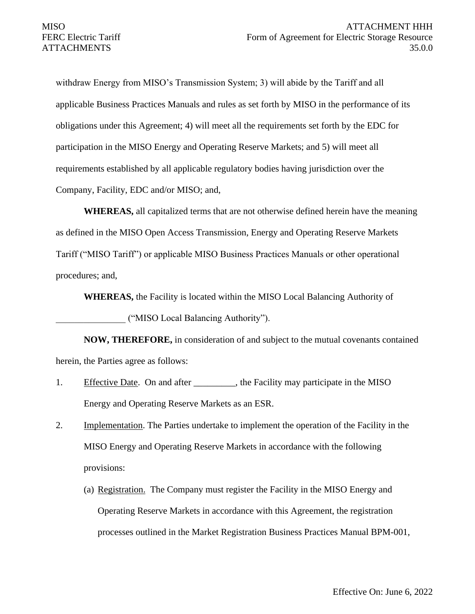withdraw Energy from MISO's Transmission System; 3) will abide by the Tariff and all applicable Business Practices Manuals and rules as set forth by MISO in the performance of its obligations under this Agreement; 4) will meet all the requirements set forth by the EDC for participation in the MISO Energy and Operating Reserve Markets; and 5) will meet all requirements established by all applicable regulatory bodies having jurisdiction over the Company, Facility, EDC and/or MISO; and,

**WHEREAS,** all capitalized terms that are not otherwise defined herein have the meaning as defined in the MISO Open Access Transmission, Energy and Operating Reserve Markets Tariff ("MISO Tariff") or applicable MISO Business Practices Manuals or other operational procedures; and,

**WHEREAS,** the Facility is located within the MISO Local Balancing Authority of

\_\_\_\_\_\_\_\_\_\_\_\_\_\_\_ ("MISO Local Balancing Authority").

**NOW, THEREFORE,** in consideration of and subject to the mutual covenants contained herein, the Parties agree as follows:

- 1. Effective Date. On and after \_\_\_\_\_\_\_\_, the Facility may participate in the MISO Energy and Operating Reserve Markets as an ESR.
- 2. Implementation. The Parties undertake to implement the operation of the Facility in the MISO Energy and Operating Reserve Markets in accordance with the following provisions:
	- (a) Registration. The Company must register the Facility in the MISO Energy and Operating Reserve Markets in accordance with this Agreement, the registration processes outlined in the Market Registration Business Practices Manual BPM-001,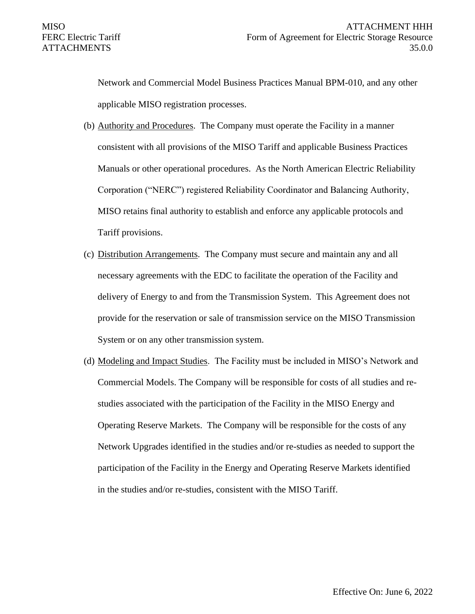Network and Commercial Model Business Practices Manual BPM-010, and any other applicable MISO registration processes.

- (b) Authority and Procedures. The Company must operate the Facility in a manner consistent with all provisions of the MISO Tariff and applicable Business Practices Manuals or other operational procedures. As the North American Electric Reliability Corporation ("NERC") registered Reliability Coordinator and Balancing Authority, MISO retains final authority to establish and enforce any applicable protocols and Tariff provisions.
- (c) Distribution Arrangements. The Company must secure and maintain any and all necessary agreements with the EDC to facilitate the operation of the Facility and delivery of Energy to and from the Transmission System. This Agreement does not provide for the reservation or sale of transmission service on the MISO Transmission System or on any other transmission system.
- (d) Modeling and Impact Studies. The Facility must be included in MISO's Network and Commercial Models. The Company will be responsible for costs of all studies and restudies associated with the participation of the Facility in the MISO Energy and Operating Reserve Markets. The Company will be responsible for the costs of any Network Upgrades identified in the studies and/or re-studies as needed to support the participation of the Facility in the Energy and Operating Reserve Markets identified in the studies and/or re-studies, consistent with the MISO Tariff.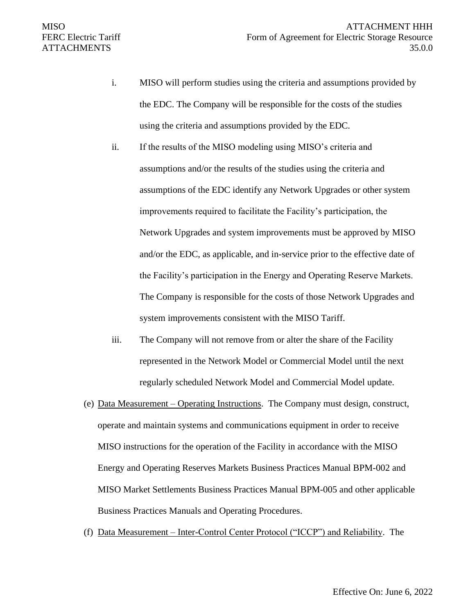- i. MISO will perform studies using the criteria and assumptions provided by the EDC. The Company will be responsible for the costs of the studies using the criteria and assumptions provided by the EDC.
- ii. If the results of the MISO modeling using MISO's criteria and assumptions and/or the results of the studies using the criteria and assumptions of the EDC identify any Network Upgrades or other system improvements required to facilitate the Facility's participation, the Network Upgrades and system improvements must be approved by MISO and/or the EDC, as applicable, and in-service prior to the effective date of the Facility's participation in the Energy and Operating Reserve Markets. The Company is responsible for the costs of those Network Upgrades and system improvements consistent with the MISO Tariff.
- iii. The Company will not remove from or alter the share of the Facility represented in the Network Model or Commercial Model until the next regularly scheduled Network Model and Commercial Model update.
- (e) Data Measurement Operating Instructions. The Company must design, construct, operate and maintain systems and communications equipment in order to receive MISO instructions for the operation of the Facility in accordance with the MISO Energy and Operating Reserves Markets Business Practices Manual BPM-002 and MISO Market Settlements Business Practices Manual BPM-005 and other applicable Business Practices Manuals and Operating Procedures.
- (f) Data Measurement Inter-Control Center Protocol ("ICCP") and Reliability. The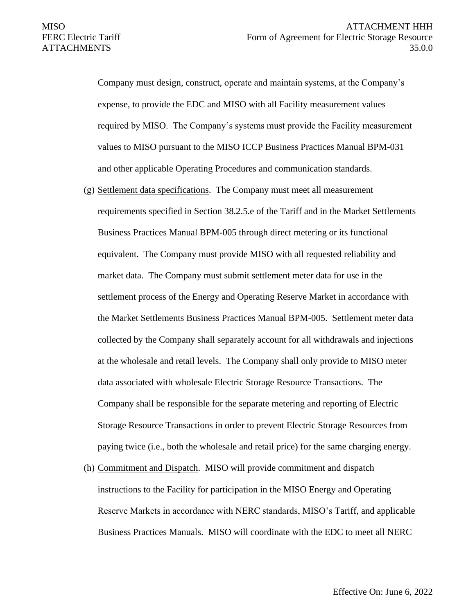Company must design, construct, operate and maintain systems, at the Company's expense, to provide the EDC and MISO with all Facility measurement values required by MISO. The Company's systems must provide the Facility measurement values to MISO pursuant to the MISO ICCP Business Practices Manual BPM-031 and other applicable Operating Procedures and communication standards.

- (g) Settlement data specifications. The Company must meet all measurement requirements specified in Section 38.2.5.e of the Tariff and in the Market Settlements Business Practices Manual BPM-005 through direct metering or its functional equivalent. The Company must provide MISO with all requested reliability and market data. The Company must submit settlement meter data for use in the settlement process of the Energy and Operating Reserve Market in accordance with the Market Settlements Business Practices Manual BPM-005. Settlement meter data collected by the Company shall separately account for all withdrawals and injections at the wholesale and retail levels. The Company shall only provide to MISO meter data associated with wholesale Electric Storage Resource Transactions. The Company shall be responsible for the separate metering and reporting of Electric Storage Resource Transactions in order to prevent Electric Storage Resources from paying twice (i.e., both the wholesale and retail price) for the same charging energy.
- (h) Commitment and Dispatch. MISO will provide commitment and dispatch instructions to the Facility for participation in the MISO Energy and Operating Reserve Markets in accordance with NERC standards, MISO's Tariff, and applicable Business Practices Manuals. MISO will coordinate with the EDC to meet all NERC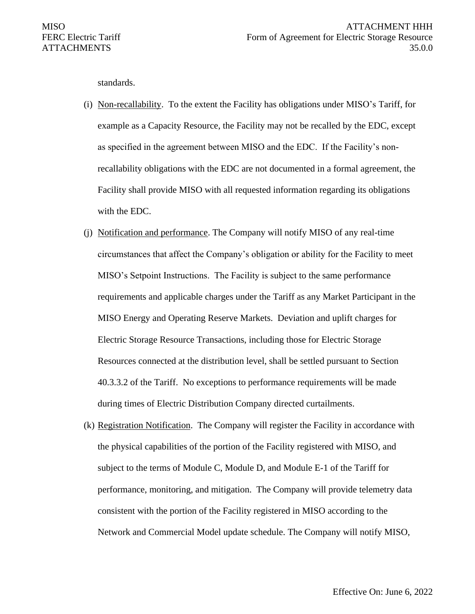standards.

- (i) Non-recallability. To the extent the Facility has obligations under MISO's Tariff, for example as a Capacity Resource, the Facility may not be recalled by the EDC, except as specified in the agreement between MISO and the EDC. If the Facility's nonrecallability obligations with the EDC are not documented in a formal agreement, the Facility shall provide MISO with all requested information regarding its obligations with the EDC.
- (j) Notification and performance. The Company will notify MISO of any real-time circumstances that affect the Company's obligation or ability for the Facility to meet MISO's Setpoint Instructions. The Facility is subject to the same performance requirements and applicable charges under the Tariff as any Market Participant in the MISO Energy and Operating Reserve Markets. Deviation and uplift charges for Electric Storage Resource Transactions, including those for Electric Storage Resources connected at the distribution level, shall be settled pursuant to Section 40.3.3.2 of the Tariff. No exceptions to performance requirements will be made during times of Electric Distribution Company directed curtailments.
- (k) Registration Notification. The Company will register the Facility in accordance with the physical capabilities of the portion of the Facility registered with MISO, and subject to the terms of Module C, Module D, and Module E-1 of the Tariff for performance, monitoring, and mitigation. The Company will provide telemetry data consistent with the portion of the Facility registered in MISO according to the Network and Commercial Model update schedule. The Company will notify MISO,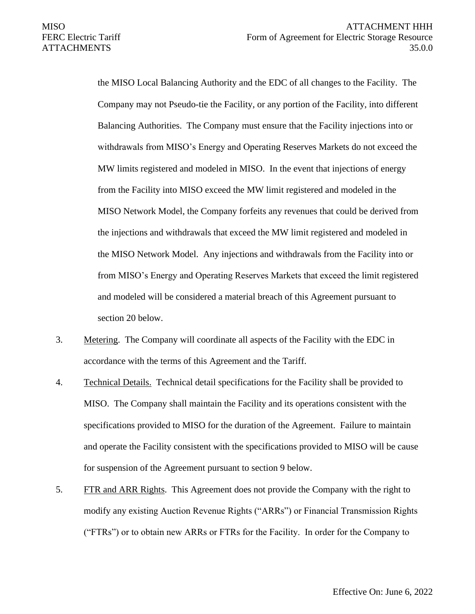the MISO Local Balancing Authority and the EDC of all changes to the Facility. The Company may not Pseudo-tie the Facility, or any portion of the Facility, into different Balancing Authorities. The Company must ensure that the Facility injections into or withdrawals from MISO's Energy and Operating Reserves Markets do not exceed the MW limits registered and modeled in MISO. In the event that injections of energy from the Facility into MISO exceed the MW limit registered and modeled in the MISO Network Model, the Company forfeits any revenues that could be derived from the injections and withdrawals that exceed the MW limit registered and modeled in the MISO Network Model. Any injections and withdrawals from the Facility into or from MISO's Energy and Operating Reserves Markets that exceed the limit registered and modeled will be considered a material breach of this Agreement pursuant to section 20 below.

- 3. Metering. The Company will coordinate all aspects of the Facility with the EDC in accordance with the terms of this Agreement and the Tariff.
- 4. Technical Details. Technical detail specifications for the Facility shall be provided to MISO. The Company shall maintain the Facility and its operations consistent with the specifications provided to MISO for the duration of the Agreement. Failure to maintain and operate the Facility consistent with the specifications provided to MISO will be cause for suspension of the Agreement pursuant to section 9 below.
- 5. FTR and ARR Rights. This Agreement does not provide the Company with the right to modify any existing Auction Revenue Rights ("ARRs") or Financial Transmission Rights ("FTRs") or to obtain new ARRs or FTRs for the Facility. In order for the Company to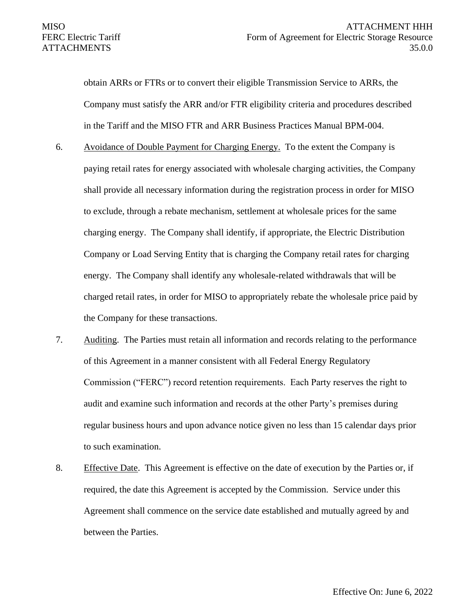obtain ARRs or FTRs or to convert their eligible Transmission Service to ARRs, the Company must satisfy the ARR and/or FTR eligibility criteria and procedures described in the Tariff and the MISO FTR and ARR Business Practices Manual BPM-004.

- 6. Avoidance of Double Payment for Charging Energy. To the extent the Company is paying retail rates for energy associated with wholesale charging activities, the Company shall provide all necessary information during the registration process in order for MISO to exclude, through a rebate mechanism, settlement at wholesale prices for the same charging energy. The Company shall identify, if appropriate, the Electric Distribution Company or Load Serving Entity that is charging the Company retail rates for charging energy. The Company shall identify any wholesale-related withdrawals that will be charged retail rates, in order for MISO to appropriately rebate the wholesale price paid by the Company for these transactions.
- 7. Auditing. The Parties must retain all information and records relating to the performance of this Agreement in a manner consistent with all Federal Energy Regulatory Commission ("FERC") record retention requirements. Each Party reserves the right to audit and examine such information and records at the other Party's premises during regular business hours and upon advance notice given no less than 15 calendar days prior to such examination.
- 8. Effective Date. This Agreement is effective on the date of execution by the Parties or, if required, the date this Agreement is accepted by the Commission. Service under this Agreement shall commence on the service date established and mutually agreed by and between the Parties.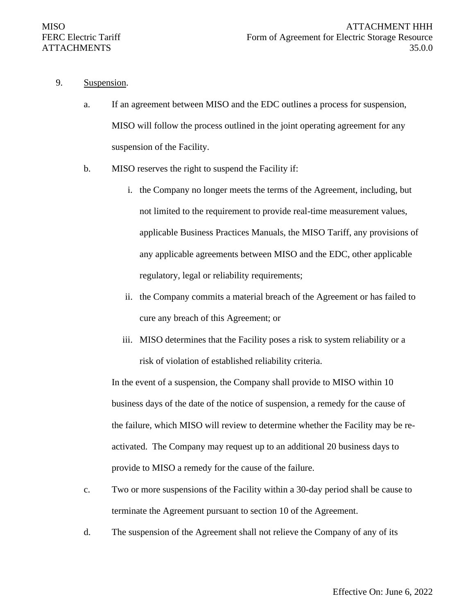- 9. Suspension.
	- a. If an agreement between MISO and the EDC outlines a process for suspension, MISO will follow the process outlined in the joint operating agreement for any suspension of the Facility.
	- b. MISO reserves the right to suspend the Facility if:
		- i. the Company no longer meets the terms of the Agreement, including, but not limited to the requirement to provide real-time measurement values, applicable Business Practices Manuals, the MISO Tariff, any provisions of any applicable agreements between MISO and the EDC, other applicable regulatory, legal or reliability requirements;
		- ii. the Company commits a material breach of the Agreement or has failed to cure any breach of this Agreement; or
		- iii. MISO determines that the Facility poses a risk to system reliability or a risk of violation of established reliability criteria.

In the event of a suspension, the Company shall provide to MISO within 10 business days of the date of the notice of suspension, a remedy for the cause of the failure, which MISO will review to determine whether the Facility may be reactivated. The Company may request up to an additional 20 business days to provide to MISO a remedy for the cause of the failure.

- c. Two or more suspensions of the Facility within a 30-day period shall be cause to terminate the Agreement pursuant to section 10 of the Agreement.
- d. The suspension of the Agreement shall not relieve the Company of any of its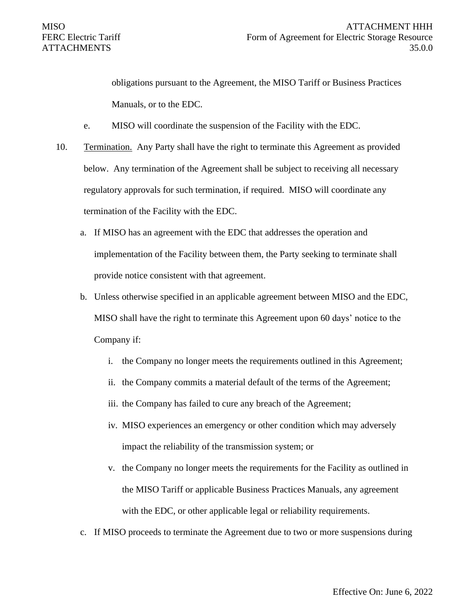obligations pursuant to the Agreement, the MISO Tariff or Business Practices Manuals, or to the EDC.

- e. MISO will coordinate the suspension of the Facility with the EDC.
- 10. Termination. Any Party shall have the right to terminate this Agreement as provided below. Any termination of the Agreement shall be subject to receiving all necessary regulatory approvals for such termination, if required. MISO will coordinate any termination of the Facility with the EDC.
	- a. If MISO has an agreement with the EDC that addresses the operation and implementation of the Facility between them, the Party seeking to terminate shall provide notice consistent with that agreement.
	- b. Unless otherwise specified in an applicable agreement between MISO and the EDC, MISO shall have the right to terminate this Agreement upon 60 days' notice to the Company if:
		- i. the Company no longer meets the requirements outlined in this Agreement;
		- ii. the Company commits a material default of the terms of the Agreement;
		- iii. the Company has failed to cure any breach of the Agreement;
		- iv. MISO experiences an emergency or other condition which may adversely impact the reliability of the transmission system; or
		- v. the Company no longer meets the requirements for the Facility as outlined in the MISO Tariff or applicable Business Practices Manuals, any agreement with the EDC, or other applicable legal or reliability requirements.
	- c. If MISO proceeds to terminate the Agreement due to two or more suspensions during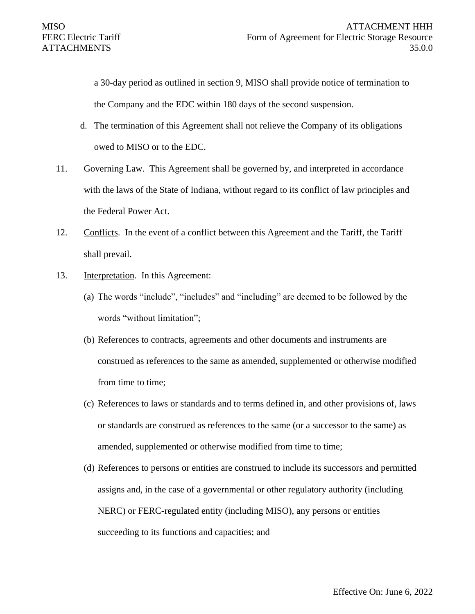a 30-day period as outlined in section 9, MISO shall provide notice of termination to the Company and the EDC within 180 days of the second suspension.

- d. The termination of this Agreement shall not relieve the Company of its obligations owed to MISO or to the EDC.
- 11. Governing Law. This Agreement shall be governed by, and interpreted in accordance with the laws of the State of Indiana, without regard to its conflict of law principles and the Federal Power Act.
- 12. Conflicts. In the event of a conflict between this Agreement and the Tariff, the Tariff shall prevail.
- 13. Interpretation. In this Agreement:
	- (a) The words "include", "includes" and "including" are deemed to be followed by the words "without limitation";
	- (b) References to contracts, agreements and other documents and instruments are construed as references to the same as amended, supplemented or otherwise modified from time to time;
	- (c) References to laws or standards and to terms defined in, and other provisions of, laws or standards are construed as references to the same (or a successor to the same) as amended, supplemented or otherwise modified from time to time;
	- (d) References to persons or entities are construed to include its successors and permitted assigns and, in the case of a governmental or other regulatory authority (including NERC) or FERC-regulated entity (including MISO), any persons or entities succeeding to its functions and capacities; and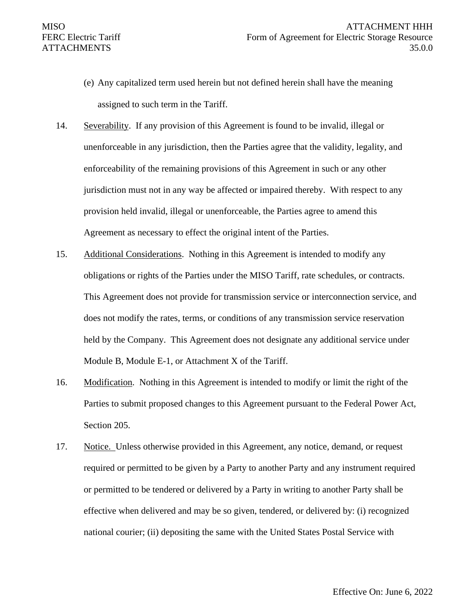- (e) Any capitalized term used herein but not defined herein shall have the meaning assigned to such term in the Tariff.
- 14. Severability. If any provision of this Agreement is found to be invalid, illegal or unenforceable in any jurisdiction, then the Parties agree that the validity, legality, and enforceability of the remaining provisions of this Agreement in such or any other jurisdiction must not in any way be affected or impaired thereby. With respect to any provision held invalid, illegal or unenforceable, the Parties agree to amend this Agreement as necessary to effect the original intent of the Parties.
- 15. Additional Considerations. Nothing in this Agreement is intended to modify any obligations or rights of the Parties under the MISO Tariff, rate schedules, or contracts. This Agreement does not provide for transmission service or interconnection service, and does not modify the rates, terms, or conditions of any transmission service reservation held by the Company. This Agreement does not designate any additional service under Module B, Module E-1, or Attachment X of the Tariff.
- 16. Modification. Nothing in this Agreement is intended to modify or limit the right of the Parties to submit proposed changes to this Agreement pursuant to the Federal Power Act, Section 205.
- 17. Notice. Unless otherwise provided in this Agreement, any notice, demand, or request required or permitted to be given by a Party to another Party and any instrument required or permitted to be tendered or delivered by a Party in writing to another Party shall be effective when delivered and may be so given, tendered, or delivered by: (i) recognized national courier; (ii) depositing the same with the United States Postal Service with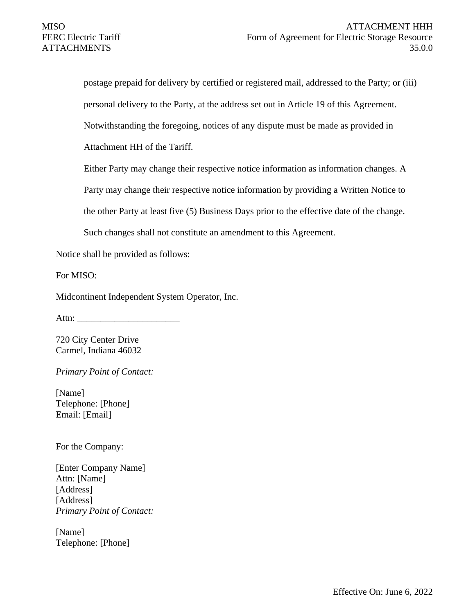postage prepaid for delivery by certified or registered mail, addressed to the Party; or (iii) personal delivery to the Party, at the address set out in Article 19 of this Agreement. Notwithstanding the foregoing, notices of any dispute must be made as provided in Attachment HH of the Tariff.

Either Party may change their respective notice information as information changes. A

Party may change their respective notice information by providing a Written Notice to

the other Party at least five (5) Business Days prior to the effective date of the change.

Such changes shall not constitute an amendment to this Agreement.

Notice shall be provided as follows:

For MISO:

Midcontinent Independent System Operator, Inc.

Attn: \_\_\_\_\_\_\_\_\_\_\_\_\_\_\_\_\_\_\_\_\_\_

720 City Center Drive Carmel, Indiana 46032

*Primary Point of Contact:*

[Name] Telephone: [Phone] Email: [Email]

For the Company:

[Enter Company Name] Attn: [Name] [Address] [Address] *Primary Point of Contact:*

[Name] Telephone: [Phone]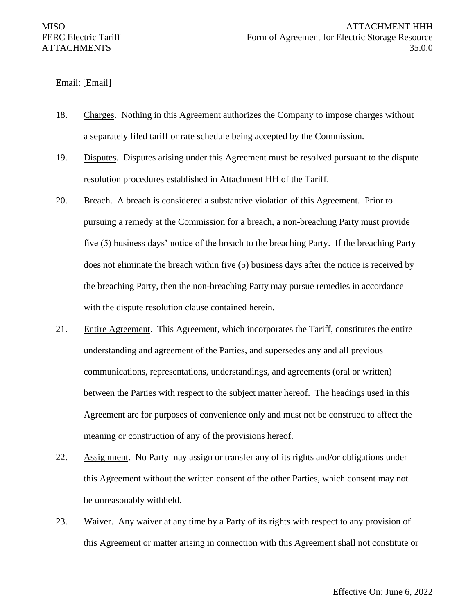#### Email: [Email]

- 18. Charges. Nothing in this Agreement authorizes the Company to impose charges without a separately filed tariff or rate schedule being accepted by the Commission.
- 19. Disputes. Disputes arising under this Agreement must be resolved pursuant to the dispute resolution procedures established in Attachment HH of the Tariff.
- 20. Breach. A breach is considered a substantive violation of this Agreement. Prior to pursuing a remedy at the Commission for a breach, a non-breaching Party must provide five (5) business days' notice of the breach to the breaching Party. If the breaching Party does not eliminate the breach within five (5) business days after the notice is received by the breaching Party, then the non-breaching Party may pursue remedies in accordance with the dispute resolution clause contained herein.
- 21. Entire Agreement. This Agreement, which incorporates the Tariff, constitutes the entire understanding and agreement of the Parties, and supersedes any and all previous communications, representations, understandings, and agreements (oral or written) between the Parties with respect to the subject matter hereof. The headings used in this Agreement are for purposes of convenience only and must not be construed to affect the meaning or construction of any of the provisions hereof.
- 22. Assignment. No Party may assign or transfer any of its rights and/or obligations under this Agreement without the written consent of the other Parties, which consent may not be unreasonably withheld.
- 23. Waiver. Any waiver at any time by a Party of its rights with respect to any provision of this Agreement or matter arising in connection with this Agreement shall not constitute or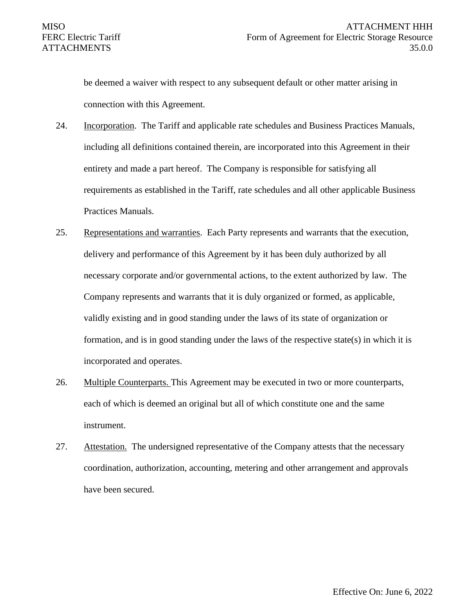be deemed a waiver with respect to any subsequent default or other matter arising in connection with this Agreement.

- 24. Incorporation. The Tariff and applicable rate schedules and Business Practices Manuals, including all definitions contained therein, are incorporated into this Agreement in their entirety and made a part hereof. The Company is responsible for satisfying all requirements as established in the Tariff, rate schedules and all other applicable Business Practices Manuals.
- 25. Representations and warranties. Each Party represents and warrants that the execution, delivery and performance of this Agreement by it has been duly authorized by all necessary corporate and/or governmental actions, to the extent authorized by law. The Company represents and warrants that it is duly organized or formed, as applicable, validly existing and in good standing under the laws of its state of organization or formation, and is in good standing under the laws of the respective state(s) in which it is incorporated and operates.
- 26. Multiple Counterparts. This Agreement may be executed in two or more counterparts, each of which is deemed an original but all of which constitute one and the same instrument.
- 27. Attestation. The undersigned representative of the Company attests that the necessary coordination, authorization, accounting, metering and other arrangement and approvals have been secured.